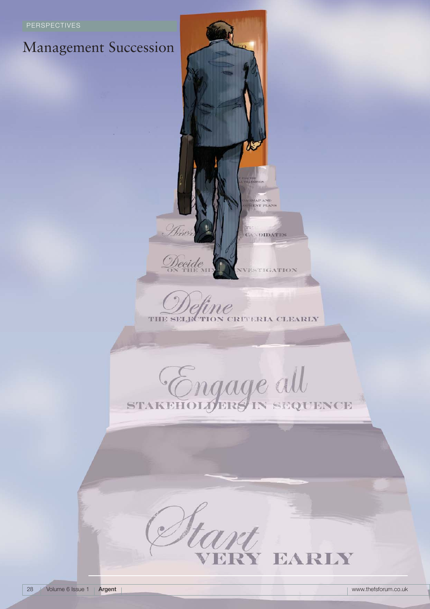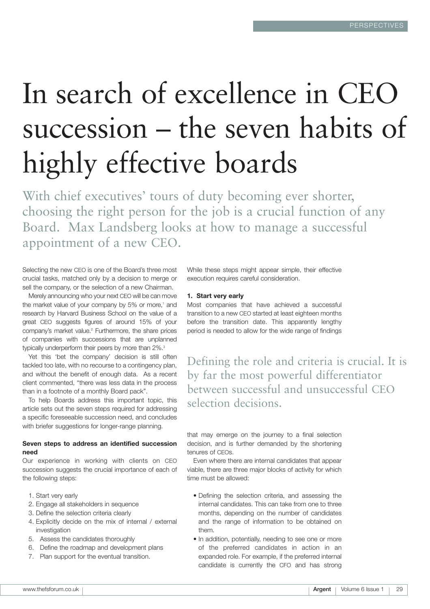# In search of excellence in CEO succession – the seven habits of highly effective boards

With chief executives' tours of duty becoming ever shorter, choosing the right person for the job is a crucial function of any Board. Max Landsberg looks at how to manage a successful appointment of a new CEO.

Selecting the new CEO is one of the Board's three most crucial tasks, matched only by a decision to merge or sell the company, or the selection of a new Chairman.

Merely announcing who your next CEO will be can move the market value of your company by 5% or more,<sup>1</sup> and research by Harvard Business School on the value of a great CEO suggests figures of around 15% of your company's market value.2 Furthermore, the share prices of companies with successions that are unplanned typically underperform their peers by more than 2%.<sup>3</sup>

Yet this 'bet the company' decision is still often tackled too late, with no recourse to a contingency plan, and without the benefit of enough data. As a recent client commented, "there was less data in the process than in a footnote of a monthly Board pack".

To help Boards address this important topic, this article sets out the seven steps required for addressing a specific foreseeable succession need, and concludes with briefer suggestions for longer-range planning.

## **Seven steps to address an identified succession need**

Our experience in working with clients on CEO succession suggests the crucial importance of each of the following steps:

- 1. Start very early
- 2. Engage all stakeholders in sequence
- 3. Define the selection criteria clearly
- 4. Explicitly decide on the mix of internal / external investigation
- 5. Assess the candidates thoroughly
- 6. Define the roadmap and development plans
- 7. Plan support for the eventual transition.

While these steps might appear simple, their effective execution requires careful consideration.

#### **1. Start very early**

Most companies that have achieved a successful transition to a new CEO started at least eighteen months before the transition date. This apparently lengthy period is needed to allow for the wide range of findings

Defining the role and criteria is crucial. It is by far the most powerful differentiator between successful and unsuccessful CEO selection decisions.

that may emerge on the journey to a final selection decision, and is further demanded by the shortening tenures of CEOs.

Even where there are internal candidates that appear viable, there are three major blocks of activity for which time must be allowed:

- Defining the selection criteria, and assessing the internal candidates. This can take from one to three months, depending on the number of candidates and the range of information to be obtained on them.
- In addition, potentially, needing to see one or more of the preferred candidates in action in an expanded role. For example, if the preferred internal candidate is currently the CFO and has strong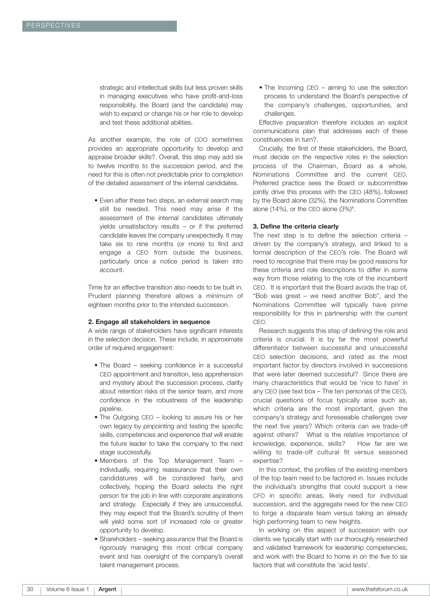strategic and intellectual skills but less proven skills in managing executives who have profit-and-loss responsibility, the Board (and the candidate) may wish to expand or change his or her role to develop and test these additional abilities.

As another example, the role of COO sometimes provides an appropriate opportunity to develop and appraise broader skills?. Overall, this step may add six to twelve months to the succession period, and the need for this is often not predictable prior to completion of the detailed assessment of the internal candidates.

• Even after these two steps, an external search may still be needed. This need may arise if the assessment of the internal candidates ultimately yields unsatisfactory results – or if the preferred candidate leaves the company unexpectedly. It may take six to nine months (or more) to find and engage a CEO from outside the business, particularly once a notice period is taken into account.

Time for an effective transition also needs to be built in. Prudent planning therefore allows a minimum of eighteen months prior to the intended succession.

#### **2. Engage all stakeholders in sequence**

A wide range of stakeholders have significant interests in the selection decision. These include, in approximate order of required engagement:

- The Board seeking confidence in a successful CEO appointment and transition, less apprehension and mystery about the succession process, clarity about retention risks of the senior team, and more confidence in the robustness of the leadership pipeline.
- The Outgoing CEO looking to assure his or her own legacy by pinpointing and testing the specific skills, competencies and experience that will enable the future leader to take the company to the next stage successfully.
- Members of the Top Management Team individually, requiring reassurance that their own candidatures will be considered fairly, and collectively, hoping the Board selects the right person for the job in line with corporate aspirations and strategy. Especially if they are unsuccessful, they may expect that the Board's scrutiny of them will yield some sort of increased role or greater opportunity to develop.
- Shareholders seeking assurance that the Board is rigorously managing this most critical company event and has oversight of the company's overall talent management process.

• The Incoming CEO – aiming to use the selection process to understand the Board's perspective of the company's challenges, opportunities, and challenges.

Effective preparation therefore includes an explicit communications plan that addresses each of these constituencies in turn?.

Crucially, the first of these stakeholders, the Board, must decide on the respective roles in the selection process of the Chairman, Board as a whole, Nominations Committee and the current CEO. Preferred practice sees the Board or subcommittee jointly drive this process with the CEO (48%), followed by the Board alone (32%), the Nominations Committee alone (14%), or the CEO alone  $(3\%)^6$ .

#### **3. Define the criteria clearly**

The next step is to define the selection criteria – driven by the company's strategy, and linked to a formal description of the CEO's role. The Board will need to recognise that there may be good reasons for these criteria and role descriptions to differ in some way from those relating to the role of the incumbent CEO. It is important that the Board avoids the trap of, "Bob was great – we need another Bob", and the Nominations Committee will typically have prime responsibility for this in partnership with the current CEO.

Research suggests this step of defining the role and criteria is crucial. It is by far the most powerful differentiator between successful and unsuccessful CEO selection decisions, and rated as the most important factor by directors involved in successions that were later deemed successful? Since there are many characteristics that would be 'nice to have' in any CEO (see text box – The ten personas of the CEO), crucial questions of focus typically arise such as, which criteria are the most important, given the company's strategy and foreseeable challenges over the next five years? Which criteria can we trade-off against others? What is the relative importance of knowledge, experience, skills? How far are we willing to trade-off cultural fit versus seasoned expertise?

In this context, the profiles of the existing members of the top team need to be factored in. Issues include the individual's strengths that could support a new CFO in specific areas, likely need for individual succession, and the aggregate need for the new CEO to forge a disparate team versus taking an already high performing team to new heights.

In working on this aspect of succession with our clients we typically start with our thoroughly researched and validated framework for leadership competencies, and work with the Board to home in on the five to six factors that will constitute the 'acid tests'.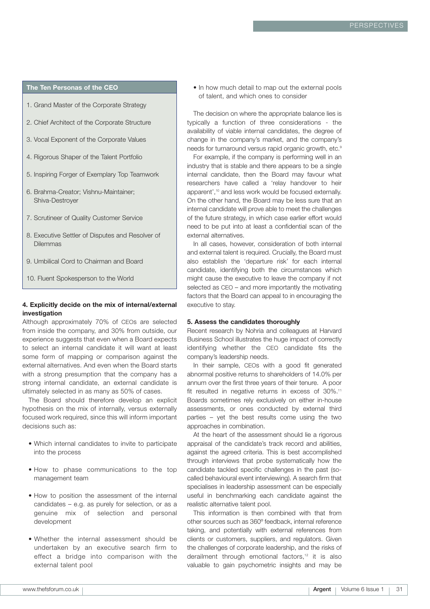## **The Ten Personas of the CEO**

- 1. Grand Master of the Corporate Strategy
- 2. Chief Architect of the Corporate Structure
- 3. Vocal Exponent of the Corporate Values
- 4. Rigorous Shaper of the Talent Portfolio
- 5. Inspiring Forger of Exemplary Top Teamwork
- 6. Brahma-Creator; Vishnu-Maintainer; Shiva-Destroyer
- 7. Scrutineer of Quality Customer Service
- 8. Executive Settler of Disputes and Resolver of Dilemmas
- 9. Umbilical Cord to Chairman and Board
- 10. Fluent Spokesperson to the World

# **4. Explicitly decide on the mix of internal/external investigation**

Although approximately 70% of CEOs are selected from inside the company, and 30% from outside, our experience suggests that even when a Board expects to select an internal candidate it will want at least some form of mapping or comparison against the external alternatives. And even when the Board starts with a strong presumption that the company has a strong internal candidate, an external candidate is ultimately selected in as many as 50% of cases.

The Board should therefore develop an explicit hypothesis on the mix of internally, versus externally focused work required, since this will inform important decisions such as:

- Which internal candidates to invite to participate into the process
- How to phase communications to the top management team
- How to position the assessment of the internal candidates – e.g. as purely for selection, or as a genuine mix of selection and personal development
- Whether the internal assessment should be undertaken by an executive search firm to effect a bridge into comparison with the external talent pool

• In how much detail to map out the external pools of talent, and which ones to consider

The decision on where the appropriate balance lies is typically a function of three considerations - the availability of viable internal candidates, the degree of change in the company's market, and the company's needs for turnaround versus rapid organic growth, etc.<sup>9</sup>

For example, if the company is performing well in an industry that is stable and there appears to be a single internal candidate, then the Board may favour what researchers have called a 'relay handover to heir apparent',<sup>10</sup> and less work would be focused externally. On the other hand, the Board may be less sure that an internal candidate will prove able to meet the challenges of the future strategy, in which case earlier effort would need to be put into at least a confidential scan of the external alternatives.

In all cases, however, consideration of both internal and external talent is required. Crucially, the Board must also establish the 'departure risk' for each internal candidate, identifying both the circumstances which might cause the executive to leave the company if not selected as CEO – and more importantly the motivating factors that the Board can appeal to in encouraging the executive to stay.

#### **5. Assess the candidates thoroughly**

Recent research by Nohria and colleagues at Harvard Business School illustrates the huge impact of correctly identifying whether the CEO candidate fits the company's leadership needs.

In their sample, CEOs with a good fit generated abnormal positive returns to shareholders of 14.0% per annum over the first three years of their tenure. A poor fit resulted in negative returns in excess of 30%.<sup>11</sup> Boards sometimes rely exclusively on either in-house assessments, or ones conducted by external third parties – yet the best results come using the two approaches in combination.

At the heart of the assessment should lie a rigorous appraisal of the candidate's track record and abilities, against the agreed criteria. This is best accomplished through interviews that probe systematically how the candidate tackled specific challenges in the past (socalled behavioural event interviewing). A search firm that specialises in leadership assessment can be especially useful in benchmarking each candidate against the realistic alternative talent pool.

This information is then combined with that from other sources such as 360º feedback, internal reference taking, and potentially with external references from clients or customers, suppliers, and regulators. Given the challenges of corporate leadership, and the risks of derailment through emotional factors,<sup>12</sup> it is also valuable to gain psychometric insights and may be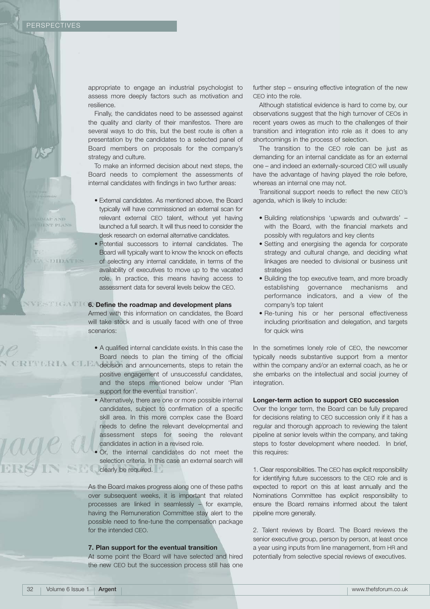MAP AND

rage a

**SOIDATES** 

appropriate to engage an industrial psychologist to assess more deeply factors such as motivation and resilience.

Finally, the candidates need to be assessed against the quality and clarity of their manifestos. There are several ways to do this, but the best route is often a presentation by the candidates to a selected panel of Board members on proposals for the company's strategy and culture.

To make an informed decision about next steps, the Board needs to complement the assessments of internal candidates with findings in two further areas:

- External candidates. As mentioned above, the Board typically will have commissioned an external scan for relevant external CEO talent, without yet having launched a full search. It will thus need to consider the desk research on external alternative candidates.
- Potential successors to internal candidates. The Board will typically want to know the knock on effects of selecting any internal candidate, in terms of the availability of executives to move up to the vacated role. In practice, this means having access to assessment data for several levels below the CEO.

# **6. Define the roadmap and development plans**

Armed with this information on candidates, the Board will take stock and is usually faced with one of three scenarios:

- A qualified internal candidate exists. In this case the Board needs to plan the timing of the official
- decision and announcements, steps to retain the positive engagement of unsuccessful candidates, and the steps mentioned below under 'Plan support for the eventual transition'.
	- Alternatively, there are one or more possible internal candidates, subject to confirmation of a specific skill area. In this more complex case the Board needs to define the relevant developmental and assessment steps for seeing the relevant candidates in action in a revised role.
- Or, the internal candidates do not meet the selection criteria. In this case an external search will clearly be required.

As the Board makes progress along one of these paths over subsequent weeks, it is important that related processes are linked in seamlessly – for example, having the Remuneration Committee stay alert to the possible need to fine-tune the compensation package for the intended CEO.

#### **7. Plan support for the eventual transition**

At some point the Board will have selected and hired the new CEO but the succession process still has one

further step – ensuring effective integration of the new CEO into the role.

Although statistical evidence is hard to come by, our observations suggest that the high turnover of CEOs in recent years owes as much to the challenges of their transition and integration into role as it does to any shortcomings in the process of selection.

The transition to the CEO role can be just as demanding for an internal candidate as for an external one – and indeed an externally-sourced CEO will usually have the advantage of having played the role before, whereas an internal one may not.

Transitional support needs to reflect the new CEO's agenda, which is likely to include:

- Building relationships 'upwards and outwards' with the Board, with the financial markets and possibly with regulators and key clients
- Setting and energising the agenda for corporate strategy and cultural change, and deciding what linkages are needed to divisional or business unit strategies
- Building the top executive team, and more broadly establishing governance mechanisms and performance indicators, and a view of the company's top talent
- Re-tuning his or her personal effectiveness including prioritisation and delegation, and targets for quick wins

In the sometimes lonely role of CEO, the newcomer typically needs substantive support from a mentor within the company and/or an external coach, as he or she embarks on the intellectual and social journey of integration.

## **Longer-term action to support CEO succession**

Over the longer term, the Board can be fully prepared for decisions relating to CEO succession only if it has a regular and thorough approach to reviewing the talent pipeline at senior levels within the company, and taking steps to foster development where needed. In brief, this requires:

1. Clear responsibilities. The CEO has explicit responsibility for identifying future successors to the CEO role and is expected to report on this at least annually and the Nominations Committee has explicit responsibility to ensure the Board remains informed about the talent pipeline more generally.

2. Talent reviews by Board. The Board reviews the senior executive group, person by person, at least once a year using inputs from line management, from HR and potentially from selective special reviews of executives.